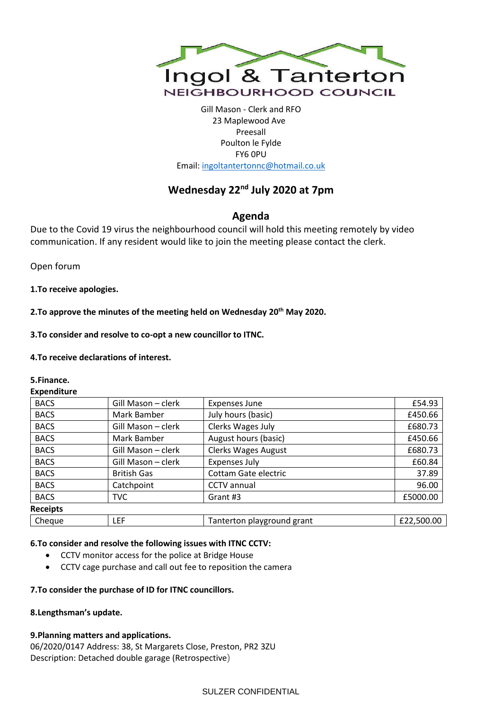

Gill Mason - Clerk and RFO 23 Maplewood Ave Preesall Poulton le Fylde FY6 0PU Email[: ingoltantertonnc@hotmail.co.uk](mailto:ingoltantertonnc@hotmail.co.uk)

# **Wednesday 22nd July 2020 at 7pm**

## **Agenda**

Due to the Covid 19 virus the neighbourhood council will hold this meeting remotely by video communication. If any resident would like to join the meeting please contact the clerk.

Open forum

**1.To receive apologies.**

**2.To approve the minutes of the meeting held on Wednesday 20th May 2020.**

**3.To consider and resolve to co-opt a new councillor to ITNC.**

**4.To receive declarations of interest.**

**5.Finance.**

**Expenditure**

| Gill Mason - clerk | <b>Expenses June</b>       | £54.93     |
|--------------------|----------------------------|------------|
| Mark Bamber        | July hours (basic)         | £450.66    |
| Gill Mason - clerk | Clerks Wages July          | £680.73    |
| Mark Bamber        | August hours (basic)       | £450.66    |
| Gill Mason - clerk | <b>Clerks Wages August</b> | £680.73    |
| Gill Mason - clerk | <b>Expenses July</b>       | £60.84     |
| <b>British Gas</b> | Cottam Gate electric       | 37.89      |
| Catchpoint         | <b>CCTV</b> annual         | 96.00      |
| <b>TVC</b>         | Grant #3                   | £5000.00   |
|                    |                            |            |
| LEF                | Tanterton playground grant | £22,500.00 |
|                    |                            |            |

## **6.To consider and resolve the following issues with ITNC CCTV:**

- CCTV monitor access for the police at Bridge House
- CCTV cage purchase and call out fee to reposition the camera

## **7.To consider the purchase of ID for ITNC councillors.**

## **8.Lengthsman's update.**

## **9.Planning matters and applications.**

06/2020/0147 Address: 38, St Margarets Close, Preston, PR2 3ZU Description: Detached double garage (Retrospective)